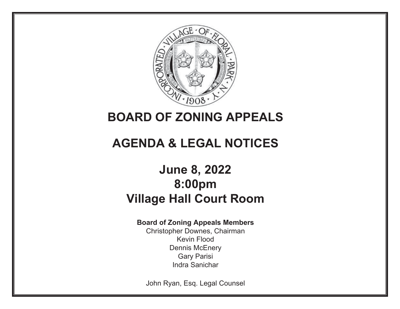

## **BOARD OF ZONING APPEALS**

# **AGENDA & LEGAL NOTICES**

## **June 8, 2022 8:00pmVillage Hall Court Room**

## **Board of Zoning Appeals Members**

Christopher Downes, Chairman Kevin Flood Dennis McEnery Gary Parisi Indra Sanichar

John Ryan, Esq. Legal Counsel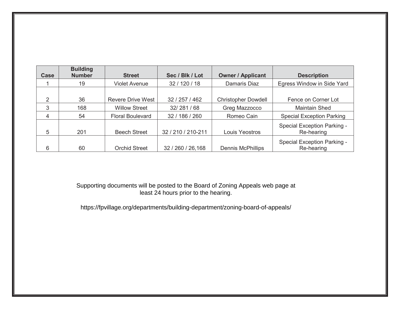| Case | <b>Building</b><br><b>Number</b> | <b>Street</b>            | Sec / Blk / Lot    | <b>Owner / Applicant</b>   | <b>Description</b>                        |
|------|----------------------------------|--------------------------|--------------------|----------------------------|-------------------------------------------|
|      | 19                               | Violet Avenue            | 32 / 120 / 18      | Damaris Diaz               | Egress Window in Side Yard                |
|      |                                  |                          |                    |                            |                                           |
| 2    | 36                               | <b>Revere Drive West</b> | 32 / 257 / 462     | <b>Christopher Dowdell</b> | Fence on Corner Lot                       |
| 3    | 168                              | <b>Willow Street</b>     | 32/281/68          | Greg Mazzocco              | <b>Maintain Shed</b>                      |
| 4    | 54                               | <b>Floral Boulevard</b>  | 32 / 186 / 260     | Romeo Cain                 | <b>Special Exception Parking</b>          |
| 5    | 201                              | <b>Beech Street</b>      | 32 / 210 / 210-211 | Louis Yeostros             | Special Exception Parking -<br>Re-hearing |
| 6    | 60                               | <b>Orchid Street</b>     | 32 / 260 / 26,168  | <b>Dennis McPhillips</b>   | Special Exception Parking -<br>Re-hearing |

Supporting documents will be posted to the Board of Zoning Appeals web page at least 24 hours prior to the hearing.

https://fpvillage.org/departments/building-department/zoning-board-of-appeals/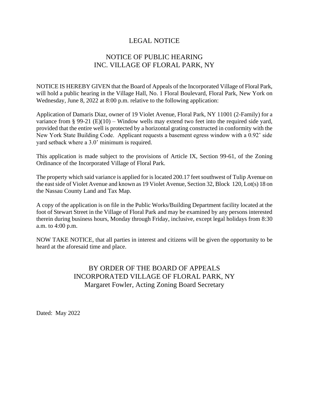## NOTICE OF PUBLIC HEARING INC. VILLAGE OF FLORAL PARK, NY

NOTICE IS HEREBY GIVEN that the Board of Appeals of the Incorporated Village of Floral Park, will hold a public hearing in the Village Hall, No. 1 Floral Boulevard, Floral Park, New York on Wednesday, June 8, 2022 at 8:00 p.m. relative to the following application:

Application of Damaris Diaz, owner of 19 Violet Avenue, Floral Park, NY 11001 (2-Family) for a variance from § 99-21 (E)(10) – Window wells may extend two feet into the required side yard, provided that the entire well is protected by a horizontal grating constructed in conformity with the New York State Building Code. Applicant requests a basement egress window with a 0.92' side yard setback where a 3.0' minimum is required.

This application is made subject to the provisions of Article IX, Section 99-61, of the Zoning Ordinance of the Incorporated Village of Floral Park.

The property which said variance is applied for is located 200.17 feet southwest of Tulip Avenue on the eastside of Violet Avenue and known as 19 Violet Avenue, Section 32, Block 120, Lot(s) 18 on the Nassau County Land and Tax Map.

A copy of the application is on file in the Public Works/Building Department facility located at the foot of Stewart Street in the Village of Floral Park and may be examined by any persons interested therein during business hours, Monday through Friday, inclusive, except legal holidays from 8:30 a.m. to 4:00 p.m.

NOW TAKE NOTICE, that all parties in interest and citizens will be given the opportunity to be heard at the aforesaid time and place.

## BY ORDER OF THE BOARD OF APPEALS INCORPORATED VILLAGE OF FLORAL PARK, NY Margaret Fowler, Acting Zoning Board Secretary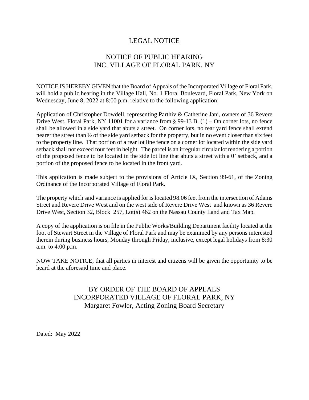## NOTICE OF PUBLIC HEARING INC. VILLAGE OF FLORAL PARK, NY

NOTICE IS HEREBY GIVEN that the Board of Appeals of the Incorporated Village of Floral Park, will hold a public hearing in the Village Hall, No. 1 Floral Boulevard, Floral Park, New York on Wednesday, June 8, 2022 at 8:00 p.m. relative to the following application:

Application of Christopher Dowdell, representing Parthiv & Catherine Jani, owners of 36 Revere Drive West, Floral Park, NY 11001 for a variance from § 99-13 B. (1) – On corner lots, no fence shall be allowed in a side yard that abuts a street. On corner lots, no rear yard fence shall extend nearer the street than ½ of the side yard setback for the property, but in no event closer than six feet to the property line. That portion of a rear lot line fence on a corner lot located within the side yard setback shall not exceed four feet in height. The parcel is an irregular circular lot rendering a portion of the proposed fence to be located in the side lot line that abuts a street with a 0' setback, and a portion of the proposed fence to be located in the front yard.

This application is made subject to the provisions of Article IX, Section 99-61, of the Zoning Ordinance of the Incorporated Village of Floral Park.

The property which said variance is applied for is located 98.06 feet from the intersection of Adams Street and Revere Drive West and on the west side of Revere Drive West and known as 36 Revere Drive West, Section 32, Block 257, Lot(s) 462 on the Nassau County Land and Tax Map.

A copy of the application is on file in the Public Works/Building Department facility located at the foot of Stewart Street in the Village of Floral Park and may be examined by any persons interested therein during business hours, Monday through Friday, inclusive, except legal holidays from 8:30 a.m. to 4:00 p.m.

NOW TAKE NOTICE, that all parties in interest and citizens will be given the opportunity to be heard at the aforesaid time and place.

## BY ORDER OF THE BOARD OF APPEALS INCORPORATED VILLAGE OF FLORAL PARK, NY Margaret Fowler, Acting Zoning Board Secretary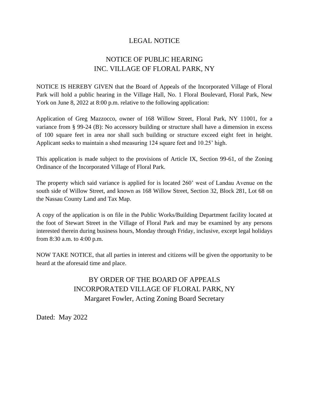## NOTICE OF PUBLIC HEARING INC. VILLAGE OF FLORAL PARK, NY

NOTICE IS HEREBY GIVEN that the Board of Appeals of the Incorporated Village of Floral Park will hold a public hearing in the Village Hall, No. 1 Floral Boulevard, Floral Park, New York on June 8, 2022 at 8:00 p.m. relative to the following application:

Application of Greg Mazzocco, owner of 168 Willow Street, Floral Park, NY 11001, for a variance from § 99-24 (B): No accessory building or structure shall have a dimension in excess of 100 square feet in area nor shall such building or structure exceed eight feet in height. Applicant seeks to maintain a shed measuring 124 square feet and 10.25' high.

This application is made subject to the provisions of Article IX, Section 99-61, of the Zoning Ordinance of the Incorporated Village of Floral Park.

The property which said variance is applied for is located 260' west of Landau Avenue on the south side of Willow Street, and known as 168 Willow Street, Section 32, Block 281, Lot 68 on the Nassau County Land and Tax Map.

A copy of the application is on file in the Public Works/Building Department facility located at the foot of Stewart Street in the Village of Floral Park and may be examined by any persons interested therein during business hours, Monday through Friday, inclusive, except legal holidays from 8:30 a.m. to 4:00 p.m.

NOW TAKE NOTICE, that all parties in interest and citizens will be given the opportunity to be heard at the aforesaid time and place.

> BY ORDER OF THE BOARD OF APPEALS INCORPORATED VILLAGE OF FLORAL PARK, NY Margaret Fowler, Acting Zoning Board Secretary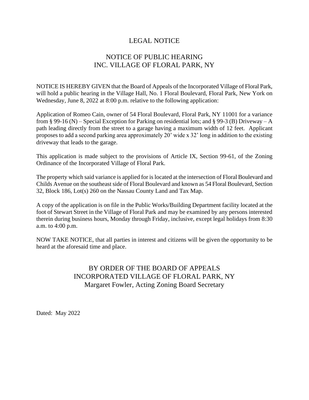## NOTICE OF PUBLIC HEARING INC. VILLAGE OF FLORAL PARK, NY

NOTICE IS HEREBY GIVEN that the Board of Appeals of the Incorporated Village of Floral Park, will hold a public hearing in the Village Hall, No. 1 Floral Boulevard, Floral Park, New York on Wednesday, June 8, 2022 at 8:00 p.m. relative to the following application:

Application of Romeo Cain, owner of 54 Floral Boulevard, Floral Park, NY 11001 for a variance from § 99-16 (N) – Special Exception for Parking on residential lots; and § 99-3 (B) Driveway – A path leading directly from the street to a garage having a maximum width of 12 feet. Applicant proposes to add a second parking area approximately 20' wide x 32' long in addition to the existing driveway that leads to the garage.

This application is made subject to the provisions of Article IX, Section 99-61, of the Zoning Ordinance of the Incorporated Village of Floral Park.

The property which said variance is applied for islocated at the intersection of Floral Boulevard and Childs Avenue on the southeast side of Floral Boulevard and known as 54 Floral Boulevard, Section 32, Block 186, Lot(s) 260 on the Nassau County Land and Tax Map.

A copy of the application is on file in the Public Works/Building Department facility located at the foot of Stewart Street in the Village of Floral Park and may be examined by any persons interested therein during business hours, Monday through Friday, inclusive, except legal holidays from 8:30 a.m. to 4:00 p.m.

NOW TAKE NOTICE, that all parties in interest and citizens will be given the opportunity to be heard at the aforesaid time and place.

## BY ORDER OF THE BOARD OF APPEALS INCORPORATED VILLAGE OF FLORAL PARK, NY Margaret Fowler, Acting Zoning Board Secretary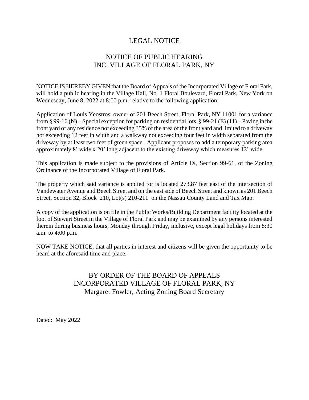## NOTICE OF PUBLIC HEARING INC. VILLAGE OF FLORAL PARK, NY

NOTICE IS HEREBY GIVEN that the Board of Appeals of the Incorporated Village of Floral Park, will hold a public hearing in the Village Hall, No. 1 Floral Boulevard, Floral Park, New York on Wednesday, June 8, 2022 at 8:00 p.m. relative to the following application:

Application of Louis Yeostros, owner of 201 Beech Street, Floral Park, NY 11001 for a variance from § 99-16 (N) – Special exception for parking on residential lots. § 99-21 (E) (11) – Paving in the front yard of any residence not exceeding 35% of the area of the front yard and limited to a driveway not exceeding 12 feet in width and a walkway not exceeding four feet in width separated from the driveway by at least two feet of green space. Applicant proposes to add a temporary parking area approximately 8' wide x 20' long adjacent to the existing driveway which measures 12' wide.

This application is made subject to the provisions of Article IX, Section 99-61, of the Zoning Ordinance of the Incorporated Village of Floral Park.

The property which said variance is applied for is located 273.87 feet east of the intersection of Vandewater Avenue and Beech Street and on the east side of Beech Street and known as 201 Beech Street, Section 32, Block 210, Lot(s) 210-211 on the Nassau County Land and Tax Map.

A copy of the application is on file in the Public Works/Building Department facility located at the foot of Stewart Street in the Village of Floral Park and may be examined by any persons interested therein during business hours, Monday through Friday, inclusive, except legal holidays from 8:30 a.m. to 4:00 p.m.

NOW TAKE NOTICE, that all parties in interest and citizens will be given the opportunity to be heard at the aforesaid time and place.

## BY ORDER OF THE BOARD OF APPEALS INCORPORATED VILLAGE OF FLORAL PARK, NY Margaret Fowler, Acting Zoning Board Secretary